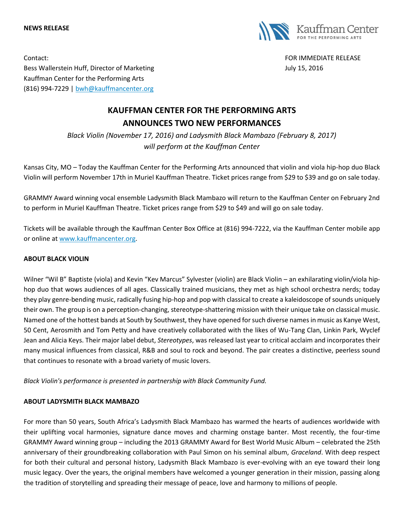#### **NEWS RELEASE**



Contact: FOR IMMEDIATE RELEASE Bess Wallerstein Huff, Director of Marketing Theorem and Theorem 3. 2016 Kauffman Center for the Performing Arts (816) 994-7229 | [bwh@kauffmancenter.org](mailto:bwh@kauffmancenter.org)

# **KAUFFMAN CENTER FOR THE PERFORMING ARTS ANNOUNCES TWO NEW PERFORMANCES**

*Black Violin (November 17, 2016) and Ladysmith Black Mambazo (February 8, 2017) will perform at the Kauffman Center*

Kansas City, MO – Today the Kauffman Center for the Performing Arts announced that violin and viola hip-hop duo Black Violin will perform November 17th in Muriel Kauffman Theatre. Ticket prices range from \$29 to \$39 and go on sale today.

GRAMMY Award winning vocal ensemble Ladysmith Black Mambazo will return to the Kauffman Center on February 2nd to perform in Muriel Kauffman Theatre. Ticket prices range from \$29 to \$49 and will go on sale today.

Tickets will be available through the Kauffman Center Box Office at (816) 994-7222, via the Kauffman Center mobile app or online at [www.kauffmancenter.org.](http://www.kauffmancenter.org/)

### **ABOUT BLACK VIOLIN**

Wilner "Wil B" Baptiste (viola) and Kevin "Kev Marcus" Sylvester (violin) are Black Violin – an exhilarating violin/viola hiphop duo that wows audiences of all ages. Classically trained musicians, they met as high school orchestra nerds; today they play genre-bending music, radically fusing hip-hop and pop with classical to create a kaleidoscope of sounds uniquely their own. The group is on a perception-changing, stereotype-shattering mission with their unique take on classical music. Named one of the hottest bands at South by Southwest, they have opened for such diverse names in music as Kanye West, 50 Cent, Aerosmith and Tom Petty and have creatively collaborated with the likes of Wu-Tang Clan, Linkin Park, Wyclef Jean and Alicia Keys. Their major label debut, *Stereotypes*, was released last year to critical acclaim and incorporates their many musical influences from classical, R&B and soul to rock and beyond. The pair creates a distinctive, peerless sound that continues to resonate with a broad variety of music lovers.

*Black Violin's performance is presented in partnership with Black Community Fund.*

#### **ABOUT LADYSMITH BLACK MAMBAZO**

For more than 50 years, South Africa's Ladysmith Black Mambazo has warmed the hearts of audiences worldwide with their uplifting vocal harmonies, signature dance moves and charming onstage banter. Most recently, the four-time GRAMMY Award winning group – including the 2013 GRAMMY Award for Best World Music Album – celebrated the 25th anniversary of their groundbreaking collaboration with Paul Simon on his seminal album, *Graceland*. With deep respect for both their cultural and personal history, Ladysmith Black Mambazo is ever-evolving with an eye toward their long music legacy. Over the years, the original members have welcomed a younger generation in their mission, passing along the tradition of storytelling and spreading their message of peace, love and harmony to millions of people.